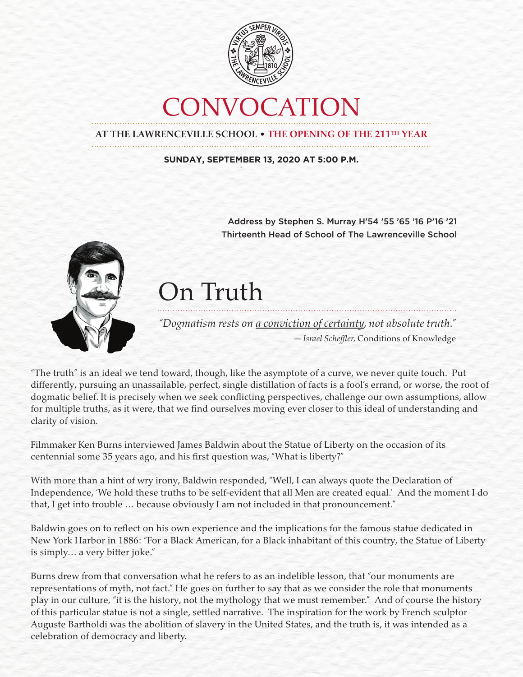

## CONVOCATION

**AT THE LAWRENCEVILLE SCHOOL** • **THE OPENING OF THE 211TH YEAR**

**SUNDAY, SEPTEMBER 13, 2020 AT 5:00 P.M.**

Address by Stephen S. Murray H'54 '55 '65 '16 P'16 '21 Thirteenth Head of School of The Lawrenceville School



## On Truth

*"Dogmatism rests on a conviction of certainty, not absolute truth." — Israel Scheffler,* Conditions of Knowledge

"The truth" is an ideal we tend toward, though, like the asymptote of a curve, we never quite touch. Put differently, pursuing an unassailable, perfect, single distillation of facts is a fool's errand, or worse, the root of dogmatic belief. It is precisely when we seek conflicting perspectives, challenge our own assumptions, allow for multiple truths, as it were, that we find ourselves moving ever closer to this ideal of understanding and clarity of vision.

Filmmaker Ken Burns interviewed James Baldwin about the Statue of Liberty on the occasion of its centennial some 35 years ago, and his first question was, "What is liberty?"

With more than a hint of wry irony, Baldwin responded, "Well, I can always quote the Declaration of Independence, 'We hold these truths to be self-evident that all Men are created equal.' And the moment I do that, I get into trouble … because obviously I am not included in that pronouncement."

Baldwin goes on to reflect on his own experience and the implications for the famous statue dedicated in New York Harbor in 1886: "For a Black American, for a Black inhabitant of this country, the Statue of Liberty is simply… a very bitter joke."

Burns drew from that conversation what he refers to as an indelible lesson, that "our monuments are representations of myth, not fact." He goes on further to say that as we consider the role that monuments play in our culture, "it is the history, not the mythology that we must remember." And of course the history of this particular statue is not a single, settled narrative. The inspiration for the work by French sculptor Auguste Bartholdi was the abolition of slavery in the United States, and the truth is, it was intended as a celebration of democracy and liberty.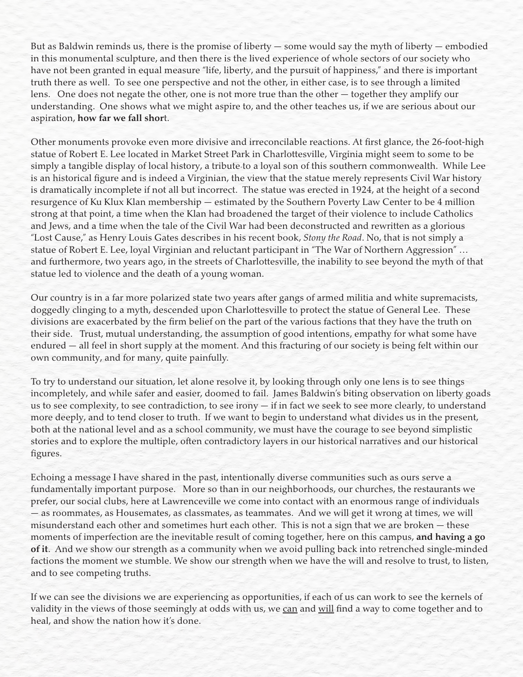But as Baldwin reminds us, there is the promise of liberty — some would say the myth of liberty — embodied in this monumental sculpture, and then there is the lived experience of whole sectors of our society who have not been granted in equal measure "life, liberty, and the pursuit of happiness," and there is important truth there as well. To see one perspective and not the other, in either case, is to see through a limited lens. One does not negate the other, one is not more true than the other — together they amplify our understanding. One shows what we might aspire to, and the other teaches us, if we are serious about our aspiration, **how far we fall shor**t.

Other monuments provoke even more divisive and irreconcilable reactions. At first glance, the 26-foot-high statue of Robert E. Lee located in Market Street Park in Charlottesville, Virginia might seem to some to be simply a tangible display of local history, a tribute to a loyal son of this southern commonwealth. While Lee is an historical figure and is indeed a Virginian, the view that the statue merely represents Civil War history is dramatically incomplete if not all but incorrect. The statue was erected in 1924, at the height of a second resurgence of Ku Klux Klan membership — estimated by the Southern Poverty Law Center to be 4 million strong at that point, a time when the Klan had broadened the target of their violence to include Catholics and Jews, and a time when the tale of the Civil War had been deconstructed and rewritten as a glorious "Lost Cause," as Henry Louis Gates describes in his recent book, *Stony the Road*. No, that is not simply a statue of Robert E. Lee, loyal Virginian and reluctant participant in "The War of Northern Aggression" … and furthermore, two years ago, in the streets of Charlottesville, the inability to see beyond the myth of that statue led to violence and the death of a young woman.

Our country is in a far more polarized state two years after gangs of armed militia and white supremacists, doggedly clinging to a myth, descended upon Charlottesville to protect the statue of General Lee. These divisions are exacerbated by the firm belief on the part of the various factions that they have the truth on their side. Trust, mutual understanding, the assumption of good intentions, empathy for what some have endured — all feel in short supply at the moment. And this fracturing of our society is being felt within our own community, and for many, quite painfully.

To try to understand our situation, let alone resolve it, by looking through only one lens is to see things incompletely, and while safer and easier, doomed to fail. James Baldwin's biting observation on liberty goads us to see complexity, to see contradiction, to see irony — if in fact we seek to see more clearly, to understand more deeply, and to tend closer to truth. If we want to begin to understand what divides us in the present, both at the national level and as a school community, we must have the courage to see beyond simplistic stories and to explore the multiple, often contradictory layers in our historical narratives and our historical figures.

Echoing a message I have shared in the past, intentionally diverse communities such as ours serve a fundamentally important purpose. More so than in our neighborhoods, our churches, the restaurants we prefer, our social clubs, here at Lawrenceville we come into contact with an enormous range of individuals — as roommates, as Housemates, as classmates, as teammates. And we will get it wrong at times, we will misunderstand each other and sometimes hurt each other. This is not a sign that we are broken — these moments of imperfection are the inevitable result of coming together, here on this campus, **and having a go of it**. And we show our strength as a community when we avoid pulling back into retrenched single-minded factions the moment we stumble. We show our strength when we have the will and resolve to trust, to listen, and to see competing truths.

If we can see the divisions we are experiencing as opportunities, if each of us can work to see the kernels of validity in the views of those seemingly at odds with us, we can and will find a way to come together and to heal, and show the nation how it's done.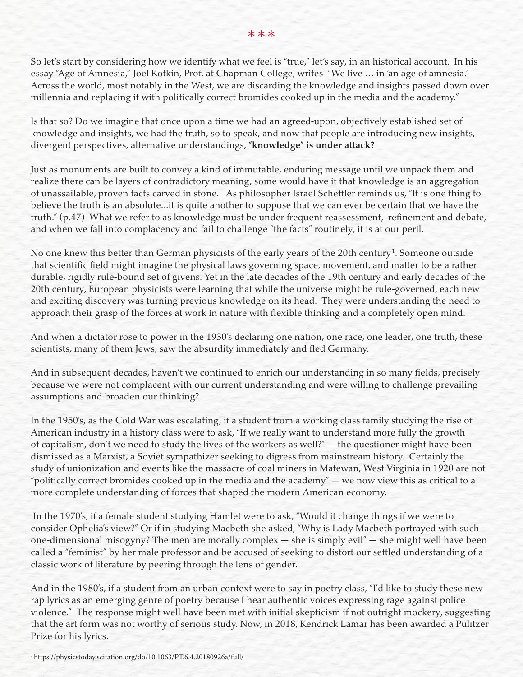So let's start by considering how we identify what we feel is "true," let's say, in an historical account. In his essay "Age of Amnesia," Joel Kotkin, Prof. at Chapman College, writes "We live … in 'an age of amnesia.' Across the world, most notably in the West, we are discarding the knowledge and insights passed down over millennia and replacing it with politically correct bromides cooked up in the media and the academy."

Is that so? Do we imagine that once upon a time we had an agreed-upon, objectively established set of knowledge and insights, we had the truth, so to speak, and now that people are introducing new insights, divergent perspectives, alternative understandings, **"knowledge" is under attack?**

Just as monuments are built to convey a kind of immutable, enduring message until we unpack them and realize there can be layers of contradictory meaning, some would have it that knowledge is an aggregation of unassailable, proven facts carved in stone. As philosopher Israel Scheffler reminds us, "It is one thing to believe the truth is an absolute...it is quite another to suppose that we can ever be certain that we have the truth." (p.47) What we refer to as knowledge must be under frequent reassessment, refinement and debate, and when we fall into complacency and fail to challenge "the facts" routinely, it is at our peril.

No one knew this better than German physicists of the early years of the 20th century $^{\rm 1.}$  Someone outside that scientific field might imagine the physical laws governing space, movement, and matter to be a rather durable, rigidly rule-bound set of givens. Yet in the late decades of the 19th century and early decades of the 20th century, European physicists were learning that while the universe might be rule-governed, each new and exciting discovery was turning previous knowledge on its head. They were understanding the need to approach their grasp of the forces at work in nature with flexible thinking and a completely open mind.

And when a dictator rose to power in the 1930's declaring one nation, one race, one leader, one truth, these scientists, many of them Jews, saw the absurdity immediately and fled Germany.

And in subsequent decades, haven't we continued to enrich our understanding in so many fields, precisely because we were not complacent with our current understanding and were willing to challenge prevailing assumptions and broaden our thinking?

In the 1950's, as the Cold War was escalating, if a student from a working class family studying the rise of American industry in a history class were to ask, "If we really want to understand more fully the growth of capitalism, don't we need to study the lives of the workers as well?" — the questioner might have been dismissed as a Marxist, a Soviet sympathizer seeking to digress from mainstream history. Certainly the study of unionization and events like the massacre of coal miners in Matewan, West Virginia in 1920 are not "politically correct bromides cooked up in the media and the academy" — we now view this as critical to a more complete understanding of forces that shaped the modern American economy.

 In the 1970's, if a female student studying Hamlet were to ask, "Would it change things if we were to consider Ophelia's view?" Or if in studying Macbeth she asked, "Why is Lady Macbeth portrayed with such one-dimensional misogyny? The men are morally complex — she is simply evil" — she might well have been called a "feminist" by her male professor and be accused of seeking to distort our settled understanding of a classic work of literature by peering through the lens of gender.

And in the 1980's, if a student from an urban context were to say in poetry class, "I'd like to study these new rap lyrics as an emerging genre of poetry because I hear authentic voices expressing rage against police violence." The response might well have been met with initial skepticism if not outright mockery, suggesting that the art form was not worthy of serious study. Now, in 2018, Kendrick Lamar has been awarded a Pulitzer Prize for his lyrics.

1 https://physicstoday.scitation.org/do/10.1063/PT.6.4.20180926a/full/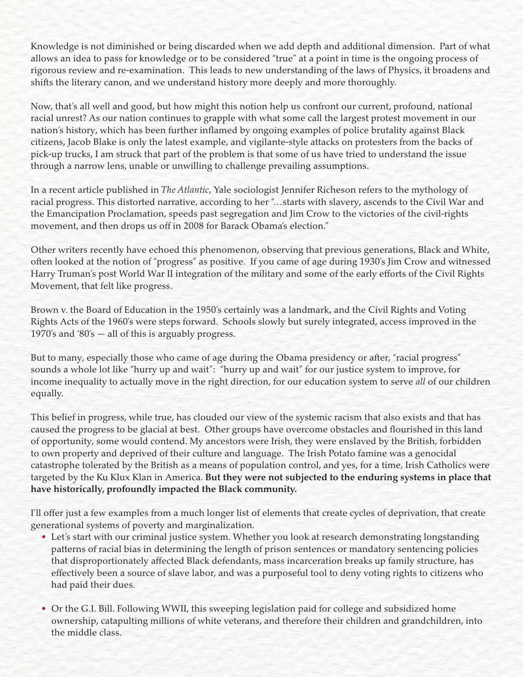Knowledge is not diminished or being discarded when we add depth and additional dimension. Part of what allows an idea to pass for knowledge or to be considered "true" at a point in time is the ongoing process of rigorous review and re-examination. This leads to new understanding of the laws of Physics, it broadens and shifts the literary canon, and we understand history more deeply and more thoroughly.

Now, that's all well and good, but how might this notion help us confront our current, profound, national racial unrest? As our nation continues to grapple with what some call the largest protest movement in our nation's history, which has been further inflamed by ongoing examples of police brutality against Black citizens, Jacob Blake is only the latest example, and vigilante-style attacks on protesters from the backs of pick-up trucks, I am struck that part of the problem is that some of us have tried to understand the issue through a narrow lens, unable or unwilling to challenge prevailing assumptions.

In a recent article published in *The Atlantic*, Yale sociologist Jennifer Richeson refers to the mythology of racial progress. This distorted narrative, according to her "…starts with slavery, ascends to the Civil War and the Emancipation Proclamation, speeds past segregation and Jim Crow to the victories of the civil-rights movement, and then drops us off in 2008 for Barack Obama's election."

Other writers recently have echoed this phenomenon, observing that previous generations, Black and White, often looked at the notion of "progress" as positive. If you came of age during 1930's Jim Crow and witnessed Harry Truman's post World War II integration of the military and some of the early efforts of the Civil Rights Movement, that felt like progress.

Brown v. the Board of Education in the 1950's certainly was a landmark, and the Civil Rights and Voting Rights Acts of the 1960's were steps forward. Schools slowly but surely integrated, access improved in the 1970's and '80's — all of this is arguably progress.

But to many, especially those who came of age during the Obama presidency or after, "racial progress" sounds a whole lot like "hurry up and wait": "hurry up and wait" for our justice system to improve, for income inequality to actually move in the right direction, for our education system to serve *all* of our children equally.

This belief in progress, while true, has clouded our view of the systemic racism that also exists and that has caused the progress to be glacial at best. Other groups have overcome obstacles and flourished in this land of opportunity, some would contend. My ancestors were Irish, they were enslaved by the British, forbidden to own property and deprived of their culture and language. The Irish Potato famine was a genocidal catastrophe tolerated by the British as a means of population control, and yes, for a time, Irish Catholics were targeted by the Ku Klux Klan in America. **But they were not subjected to the enduring systems in place that have historically, profoundly impacted the Black community.**

I'll offer just a few examples from a much longer list of elements that create cycles of deprivation, that create generational systems of poverty and marginalization.

- Let's start with our criminal justice system. Whether you look at research demonstrating longstanding patterns of racial bias in determining the length of prison sentences or mandatory sentencing policies that disproportionately affected Black defendants, mass incarceration breaks up family structure, has effectively been a source of slave labor, and was a purposeful tool to deny voting rights to citizens who had paid their dues.
- Or the G.I. Bill. Following WWII, this sweeping legislation paid for college and subsidized home ownership, catapulting millions of white veterans, and therefore their children and grandchildren, into the middle class.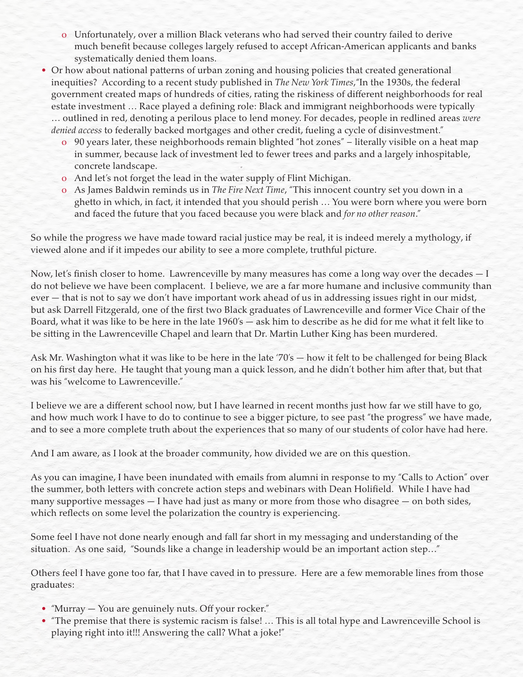- o Unfortunately, over a million Black veterans who had served their country failed to derive much benefit because colleges largely refused to accept African-American applicants and banks systematically denied them loans.
- Or how about national patterns of urban zoning and housing policies that created generational inequities? According to a recent study published in *The New York Times*,"In the 1930s, the federal government created maps of hundreds of cities, rating the riskiness of different neighborhoods for real estate investment … Race played a defining role: Black and immigrant neighborhoods were typically … outlined in red, denoting a perilous place to lend money. For decades, people in redlined areas *were denied access* to federally backed mortgages and other credit, fueling a cycle of disinvestment."
	- o 90 years later, these neighborhoods remain blighted "hot zones" literally visible on a heat map in summer, because lack of investment led to fewer trees and parks and a largely inhospitable, concrete landscape.
	- o And let's not forget the lead in the water supply of Flint Michigan.
	- o As James Baldwin reminds us in *The Fire Next Time*, "This innocent country set you down in a ghetto in which, in fact, it intended that you should perish … You were born where you were born and faced the future that you faced because you were black and *for no other reason*."

So while the progress we have made toward racial justice may be real, it is indeed merely a mythology, if viewed alone and if it impedes our ability to see a more complete, truthful picture.

Now, let's finish closer to home. Lawrenceville by many measures has come a long way over the decades — I do not believe we have been complacent. I believe, we are a far more humane and inclusive community than ever — that is not to say we don't have important work ahead of us in addressing issues right in our midst, but ask Darrell Fitzgerald, one of the first two Black graduates of Lawrenceville and former Vice Chair of the Board, what it was like to be here in the late 1960's — ask him to describe as he did for me what it felt like to be sitting in the Lawrenceville Chapel and learn that Dr. Martin Luther King has been murdered.

Ask Mr. Washington what it was like to be here in the late '70's — how it felt to be challenged for being Black on his first day here. He taught that young man a quick lesson, and he didn't bother him after that, but that was his "welcome to Lawrenceville."

I believe we are a different school now, but I have learned in recent months just how far we still have to go, and how much work I have to do to continue to see a bigger picture, to see past "the progress" we have made, and to see a more complete truth about the experiences that so many of our students of color have had here.

And I am aware, as I look at the broader community, how divided we are on this question.

As you can imagine, I have been inundated with emails from alumni in response to my "Calls to Action" over the summer, both letters with concrete action steps and webinars with Dean Holifield. While I have had many supportive messages  $-1$  have had just as many or more from those who disagree  $-$  on both sides, which reflects on some level the polarization the country is experiencing.

Some feel I have not done nearly enough and fall far short in my messaging and understanding of the situation. As one said, "Sounds like a change in leadership would be an important action step…"

Others feel I have gone too far, that I have caved in to pressure. Here are a few memorable lines from those graduates:

- "Murray You are genuinely nuts. Off your rocker."
- "The premise that there is systemic racism is false! … This is all total hype and Lawrenceville School is playing right into it!!! Answering the call? What a joke!"